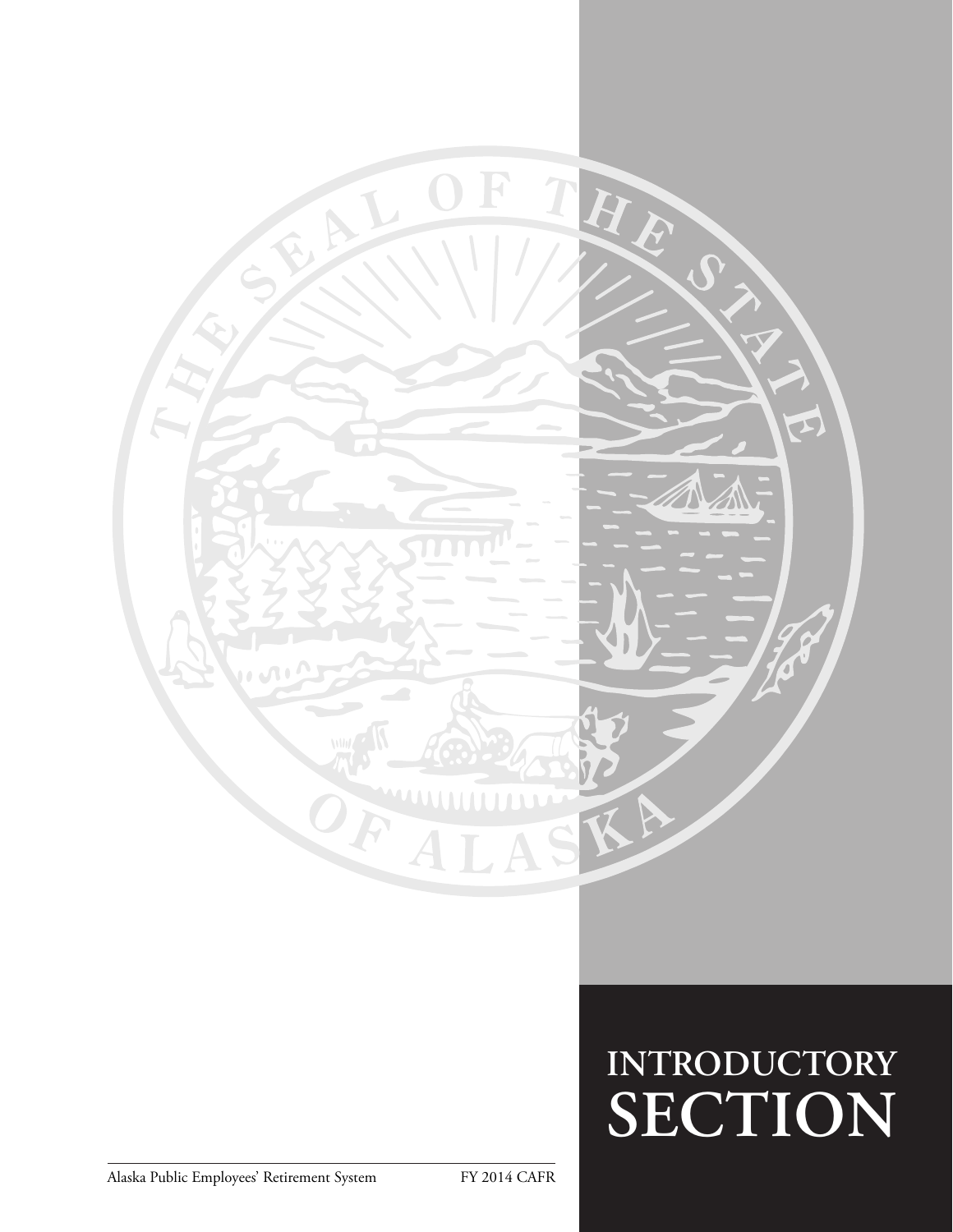

# **INTRODUCTORY SECTION**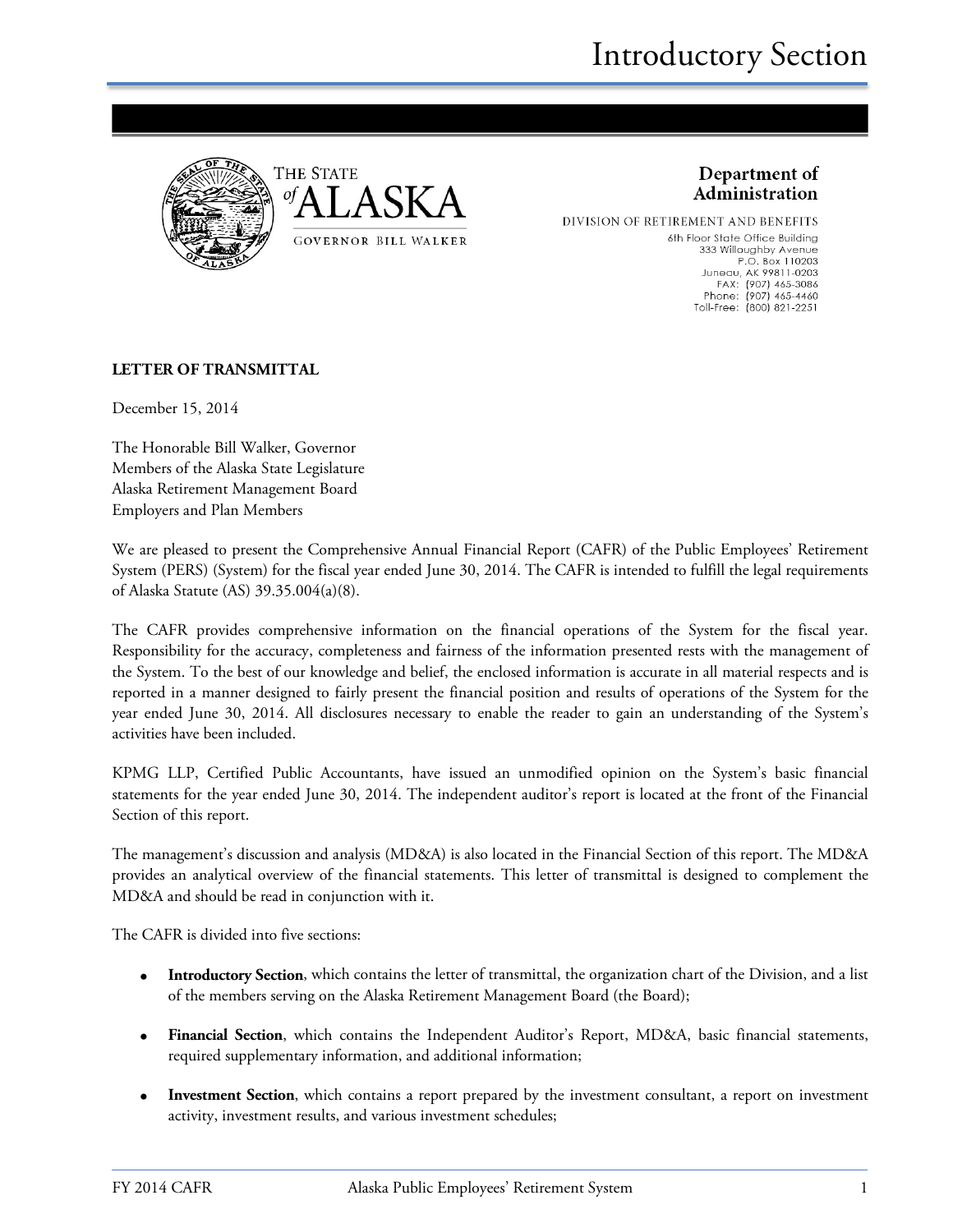



Department of Administration

DIVISION OF RETIREMENT AND BENEFITS 6th Floor State Office Building 333 Willoughby Avenue P.O. Box 110203 Juneau, AK 99811-0203<br>FAX: (907) 465-3086 Phone: (907) 465-4460 Toll-Free: (800) 821-2251

#### **LETTER OF TRANSMITTAL**

December 15, 2014

The Honorable Bill Walker, Governor Members of the Alaska State Legislature Alaska Retirement Management Board Employers and Plan Members

We are pleased to present the Comprehensive Annual Financial Report (CAFR) of the Public Employees' Retirement System (PERS) (System) for the fiscal year ended June 30, 2014. The CAFR is intended to fulfill the legal requirements of Alaska Statute (AS) 39.35.004(a)(8).

The CAFR provides comprehensive information on the financial operations of the System for the fiscal year. Responsibility for the accuracy, completeness and fairness of the information presented rests with the management of the System. To the best of our knowledge and belief, the enclosed information is accurate in all material respects and is reported in a manner designed to fairly present the financial position and results of operations of the System for the year ended June 30, 2014. All disclosures necessary to enable the reader to gain an understanding of the System's activities have been included.

KPMG LLP, Certified Public Accountants, have issued an unmodified opinion on the System's basic financial statements for the year ended June 30, 2014. The independent auditor's report is located at the front of the Financial Section of this report.

The management's discussion and analysis (MD&A) is also located in the Financial Section of this report. The MD&A provides an analytical overview of the financial statements. This letter of transmittal is designed to complement the MD&A and should be read in conjunction with it.

The CAFR is divided into five sections:

- **Introductory Section**, which contains the letter of transmittal, the organization chart of the Division, and a list of the members serving on the Alaska Retirement Management Board (the Board);
- **Financial Section**, which contains the Independent Auditor's Report, MD&A, basic financial statements, required supplementary information, and additional information;
- **Investment Section**, which contains a report prepared by the investment consultant, a report on investment activity, investment results, and various investment schedules;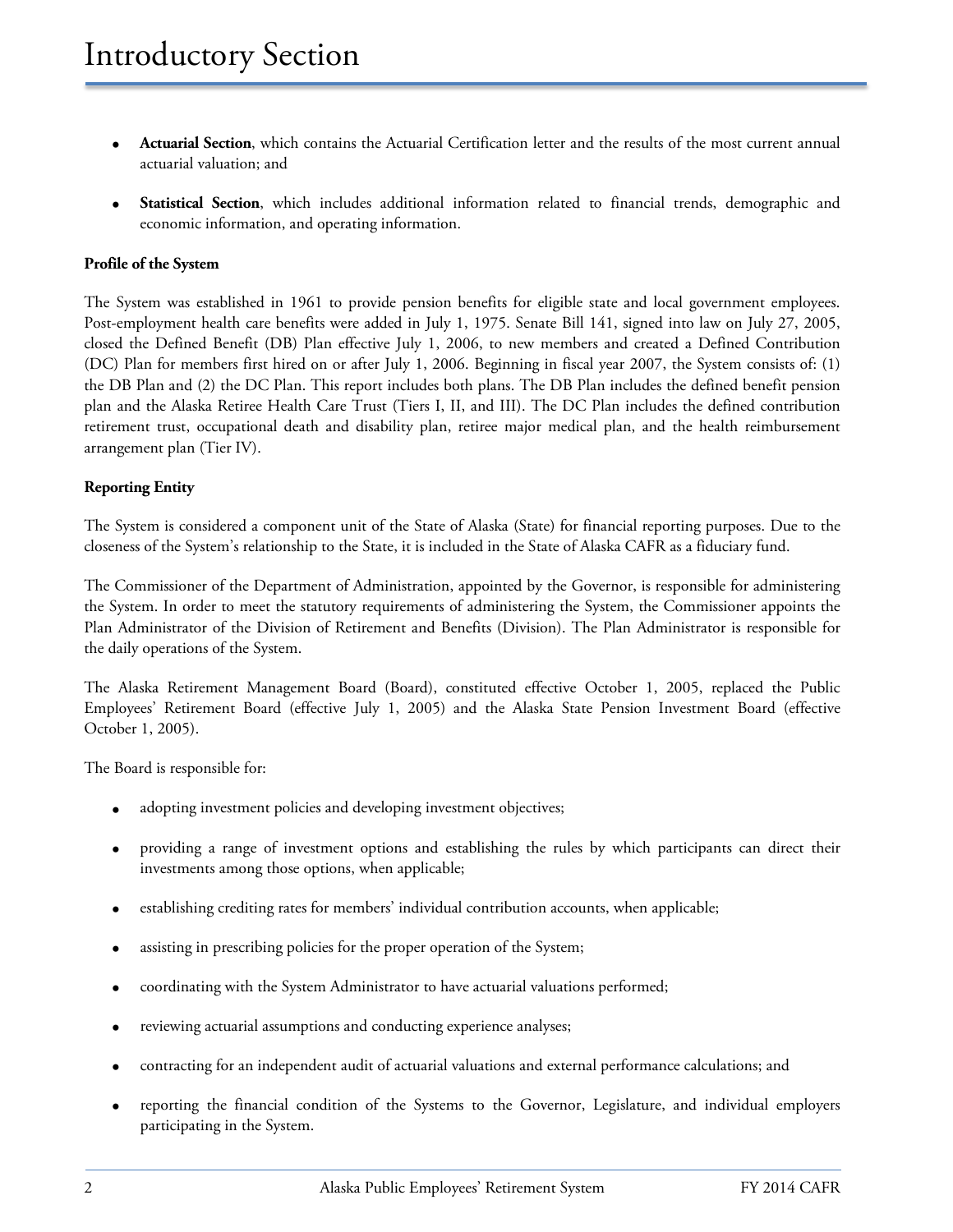- **Actuarial Section**, which contains the Actuarial Certification letter and the results of the most current annual actuarial valuation; and
- **Statistical Section**, which includes additional information related to financial trends, demographic and economic information, and operating information.

#### **Profile of the System**

The System was established in 1961 to provide pension benefits for eligible state and local government employees. Post-employment health care benefits were added in July 1, 1975. Senate Bill 141, signed into law on July 27, 2005, closed the Defined Benefit (DB) Plan effective July 1, 2006, to new members and created a Defined Contribution (DC) Plan for members first hired on or after July 1, 2006. Beginning in fiscal year 2007, the System consists of: (1) the DB Plan and (2) the DC Plan. This report includes both plans. The DB Plan includes the defined benefit pension plan and the Alaska Retiree Health Care Trust (Tiers I, II, and III). The DC Plan includes the defined contribution retirement trust, occupational death and disability plan, retiree major medical plan, and the health reimbursement arrangement plan (Tier IV).

#### **Reporting Entity**

The System is considered a component unit of the State of Alaska (State) for financial reporting purposes. Due to the closeness of the System's relationship to the State, it is included in the State of Alaska CAFR as a fiduciary fund.

The Commissioner of the Department of Administration, appointed by the Governor, is responsible for administering the System. In order to meet the statutory requirements of administering the System, the Commissioner appoints the Plan Administrator of the Division of Retirement and Benefits (Division). The Plan Administrator is responsible for the daily operations of the System.

The Alaska Retirement Management Board (Board), constituted effective October 1, 2005, replaced the Public Employees' Retirement Board (effective July 1, 2005) and the Alaska State Pension Investment Board (effective October 1, 2005).

The Board is responsible for:

- adopting investment policies and developing investment objectives;
- providing a range of investment options and establishing the rules by which participants can direct their investments among those options, when applicable;
- establishing crediting rates for members' individual contribution accounts, when applicable;
- assisting in prescribing policies for the proper operation of the System;
- coordinating with the System Administrator to have actuarial valuations performed;
- reviewing actuarial assumptions and conducting experience analyses;
- contracting for an independent audit of actuarial valuations and external performance calculations; and
- reporting the financial condition of the Systems to the Governor, Legislature, and individual employers participating in the System.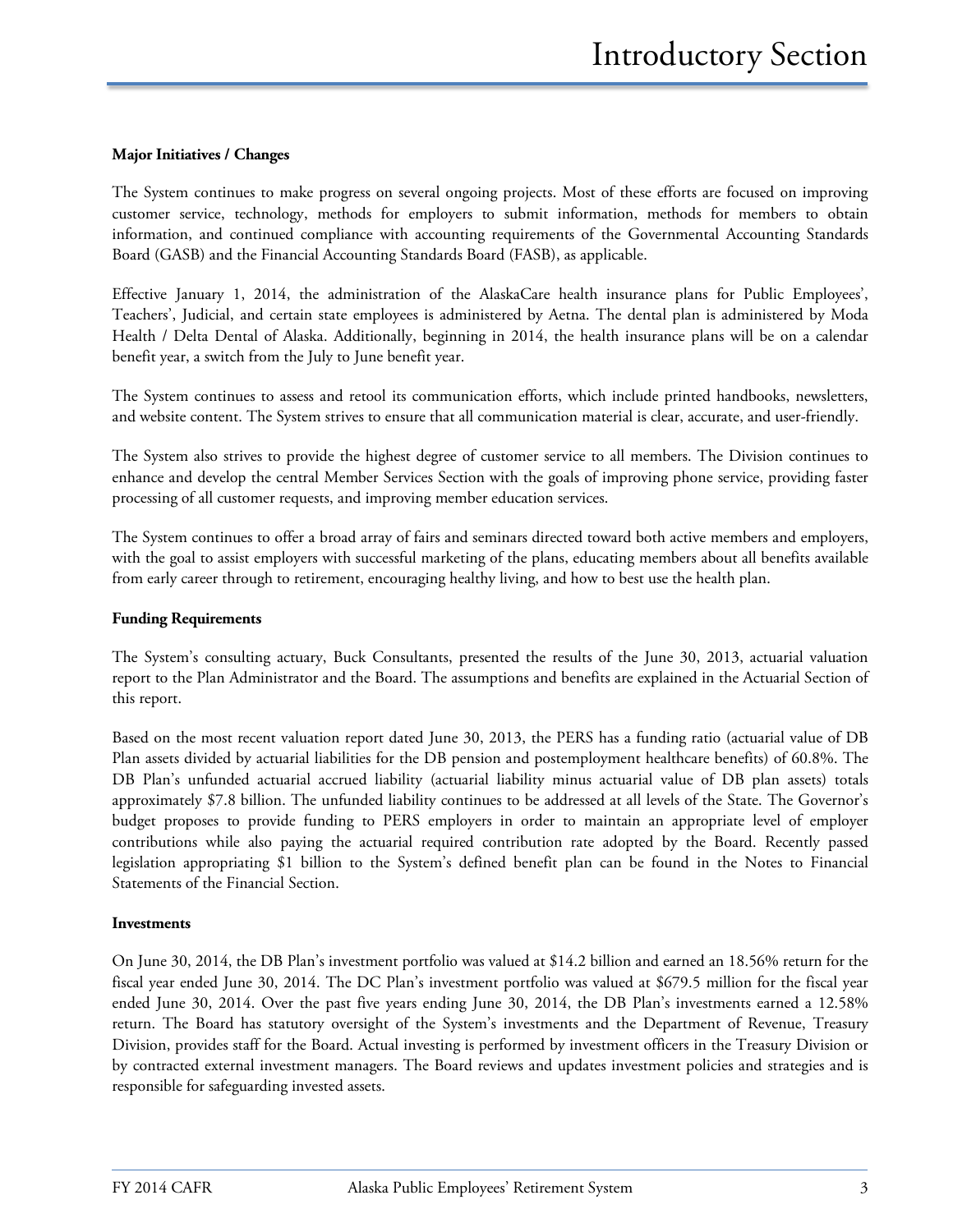#### **Major Initiatives / Changes**

The System continues to make progress on several ongoing projects. Most of these efforts are focused on improving customer service, technology, methods for employers to submit information, methods for members to obtain information, and continued compliance with accounting requirements of the Governmental Accounting Standards Board (GASB) and the Financial Accounting Standards Board (FASB), as applicable.

Effective January 1, 2014, the administration of the AlaskaCare health insurance plans for Public Employees', Teachers', Judicial, and certain state employees is administered by Aetna. The dental plan is administered by Moda Health / Delta Dental of Alaska. Additionally, beginning in 2014, the health insurance plans will be on a calendar benefit year, a switch from the July to June benefit year.

The System continues to assess and retool its communication efforts, which include printed handbooks, newsletters, and website content. The System strives to ensure that all communication material is clear, accurate, and user-friendly.

The System also strives to provide the highest degree of customer service to all members. The Division continues to enhance and develop the central Member Services Section with the goals of improving phone service, providing faster processing of all customer requests, and improving member education services.

The System continues to offer a broad array of fairs and seminars directed toward both active members and employers, with the goal to assist employers with successful marketing of the plans, educating members about all benefits available from early career through to retirement, encouraging healthy living, and how to best use the health plan.

#### **Funding Requirements**

The System's consulting actuary, Buck Consultants, presented the results of the June 30, 2013, actuarial valuation report to the Plan Administrator and the Board. The assumptions and benefits are explained in the Actuarial Section of this report.

Based on the most recent valuation report dated June 30, 2013, the PERS has a funding ratio (actuarial value of DB Plan assets divided by actuarial liabilities for the DB pension and postemployment healthcare benefits) of 60.8%. The DB Plan's unfunded actuarial accrued liability (actuarial liability minus actuarial value of DB plan assets) totals approximately \$7.8 billion. The unfunded liability continues to be addressed at all levels of the State. The Governor's budget proposes to provide funding to PERS employers in order to maintain an appropriate level of employer contributions while also paying the actuarial required contribution rate adopted by the Board. Recently passed legislation appropriating \$1 billion to the System's defined benefit plan can be found in the Notes to Financial Statements of the Financial Section.

#### **Investments**

On June 30, 2014, the DB Plan's investment portfolio was valued at \$14.2 billion and earned an 18.56% return for the fiscal year ended June 30, 2014. The DC Plan's investment portfolio was valued at \$679.5 million for the fiscal year ended June 30, 2014. Over the past five years ending June 30, 2014, the DB Plan's investments earned a 12.58% return. The Board has statutory oversight of the System's investments and the Department of Revenue, Treasury Division, provides staff for the Board. Actual investing is performed by investment officers in the Treasury Division or by contracted external investment managers. The Board reviews and updates investment policies and strategies and is responsible for safeguarding invested assets.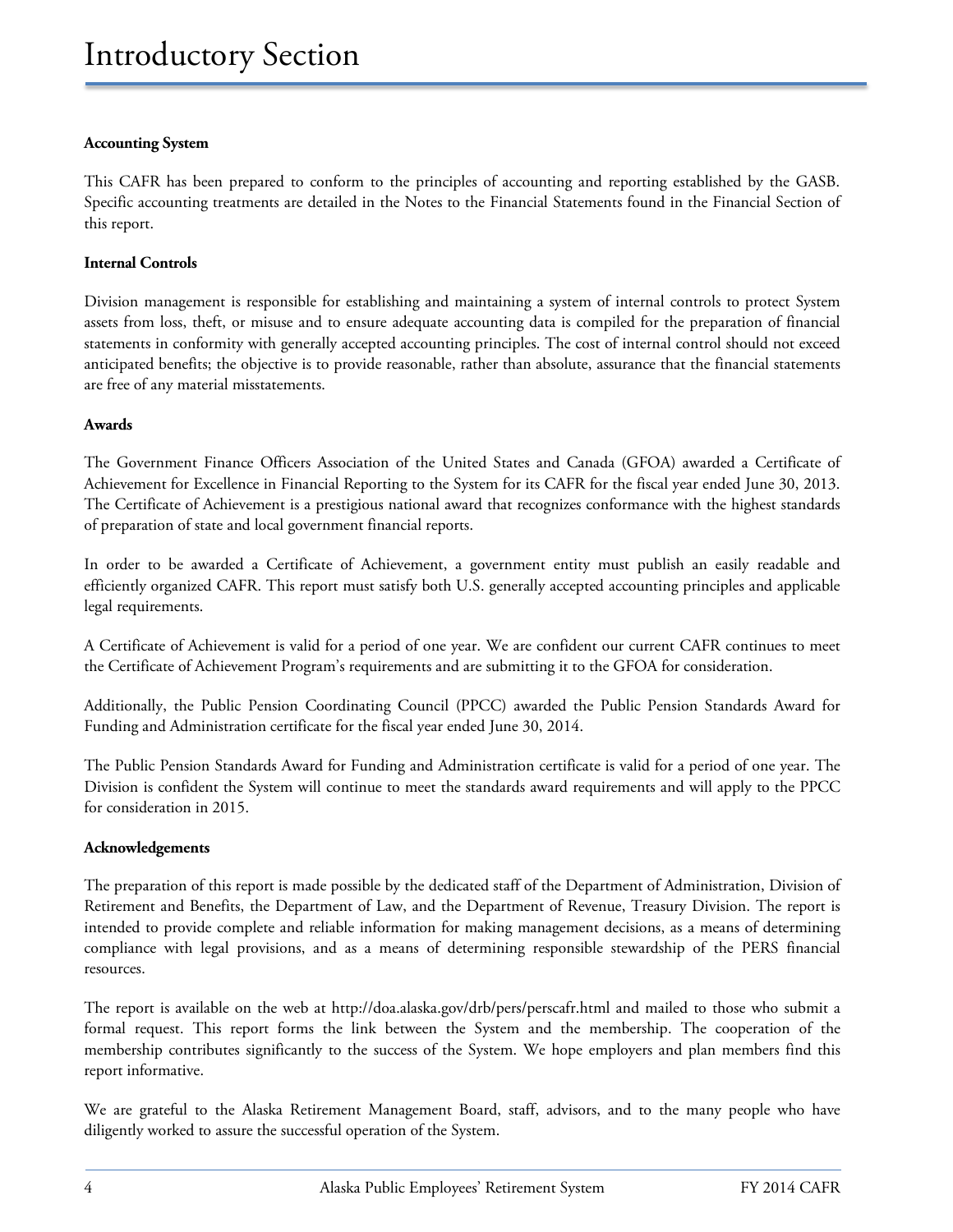#### **Accounting System**

This CAFR has been prepared to conform to the principles of accounting and reporting established by the GASB. Specific accounting treatments are detailed in the Notes to the Financial Statements found in the Financial Section of this report.

#### **Internal Controls**

Division management is responsible for establishing and maintaining a system of internal controls to protect System assets from loss, theft, or misuse and to ensure adequate accounting data is compiled for the preparation of financial statements in conformity with generally accepted accounting principles. The cost of internal control should not exceed anticipated benefits; the objective is to provide reasonable, rather than absolute, assurance that the financial statements are free of any material misstatements.

#### **Awards**

The Government Finance Officers Association of the United States and Canada (GFOA) awarded a Certificate of Achievement for Excellence in Financial Reporting to the System for its CAFR for the fiscal year ended June 30, 2013. The Certificate of Achievement is a prestigious national award that recognizes conformance with the highest standards of preparation of state and local government financial reports.

In order to be awarded a Certificate of Achievement, a government entity must publish an easily readable and efficiently organized CAFR. This report must satisfy both U.S. generally accepted accounting principles and applicable legal requirements.

A Certificate of Achievement is valid for a period of one year. We are confident our current CAFR continues to meet the Certificate of Achievement Program's requirements and are submitting it to the GFOA for consideration.

Additionally, the Public Pension Coordinating Council (PPCC) awarded the Public Pension Standards Award for Funding and Administration certificate for the fiscal year ended June 30, 2014.

The Public Pension Standards Award for Funding and Administration certificate is valid for a period of one year. The Division is confident the System will continue to meet the standards award requirements and will apply to the PPCC for consideration in 2015.

#### **Acknowledgements**

The preparation of this report is made possible by the dedicated staff of the Department of Administration, Division of Retirement and Benefits, the Department of Law, and the Department of Revenue, Treasury Division. The report is intended to provide complete and reliable information for making management decisions, as a means of determining compliance with legal provisions, and as a means of determining responsible stewardship of the PERS financial resources.

The report is available on the web at http://doa.alaska.gov/drb/pers/perscafr.html and mailed to those who submit a formal request. This report forms the link between the System and the membership. The cooperation of the membership contributes significantly to the success of the System. We hope employers and plan members find this report informative.

We are grateful to the Alaska Retirement Management Board, staff, advisors, and to the many people who have diligently worked to assure the successful operation of the System.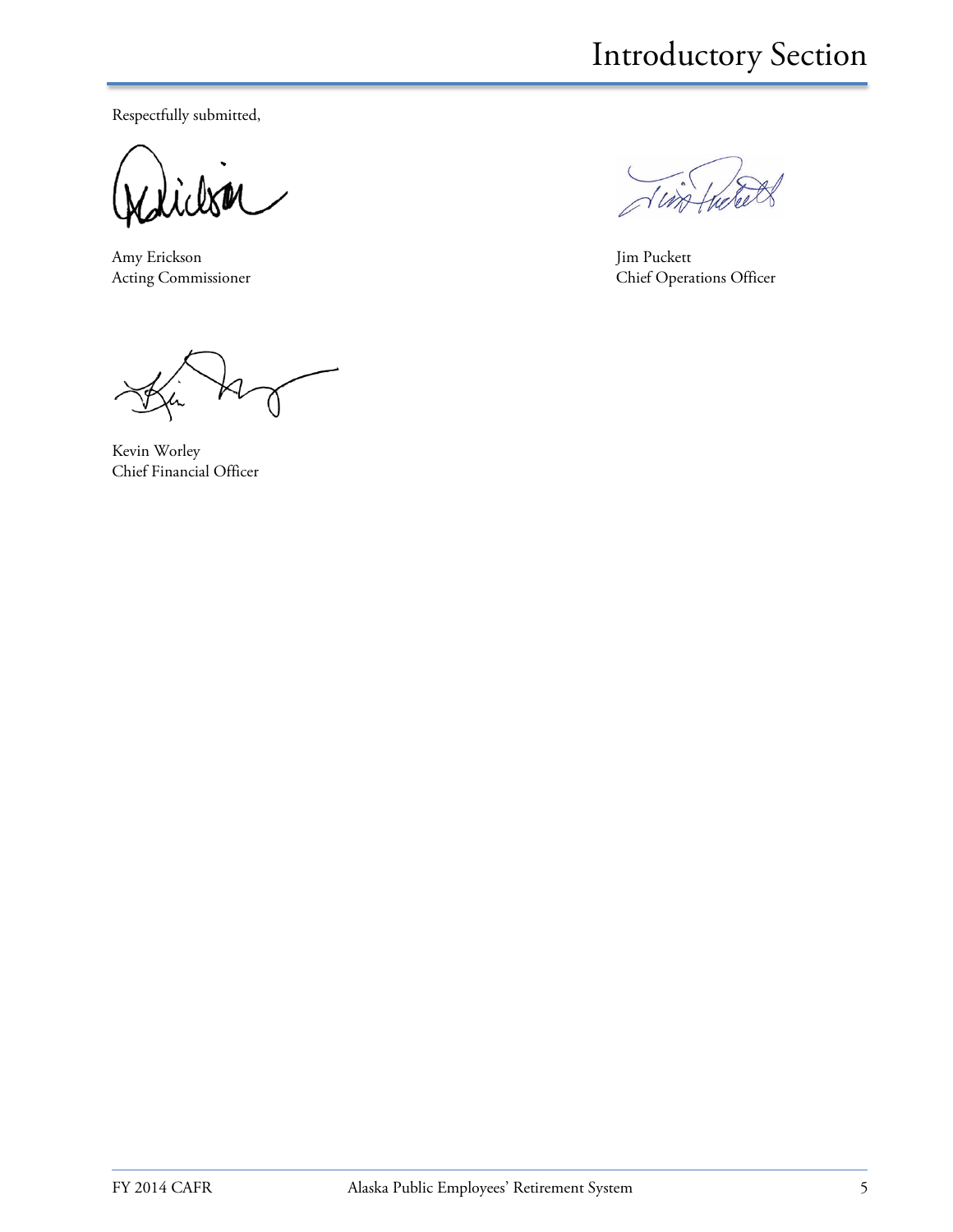Respectfully submitted,

Amy Erickson Jim Puckett<br>Acting Commissioner Chief Opera

With

Chief Operations Officer

Kevin Worley Chief Financial Officer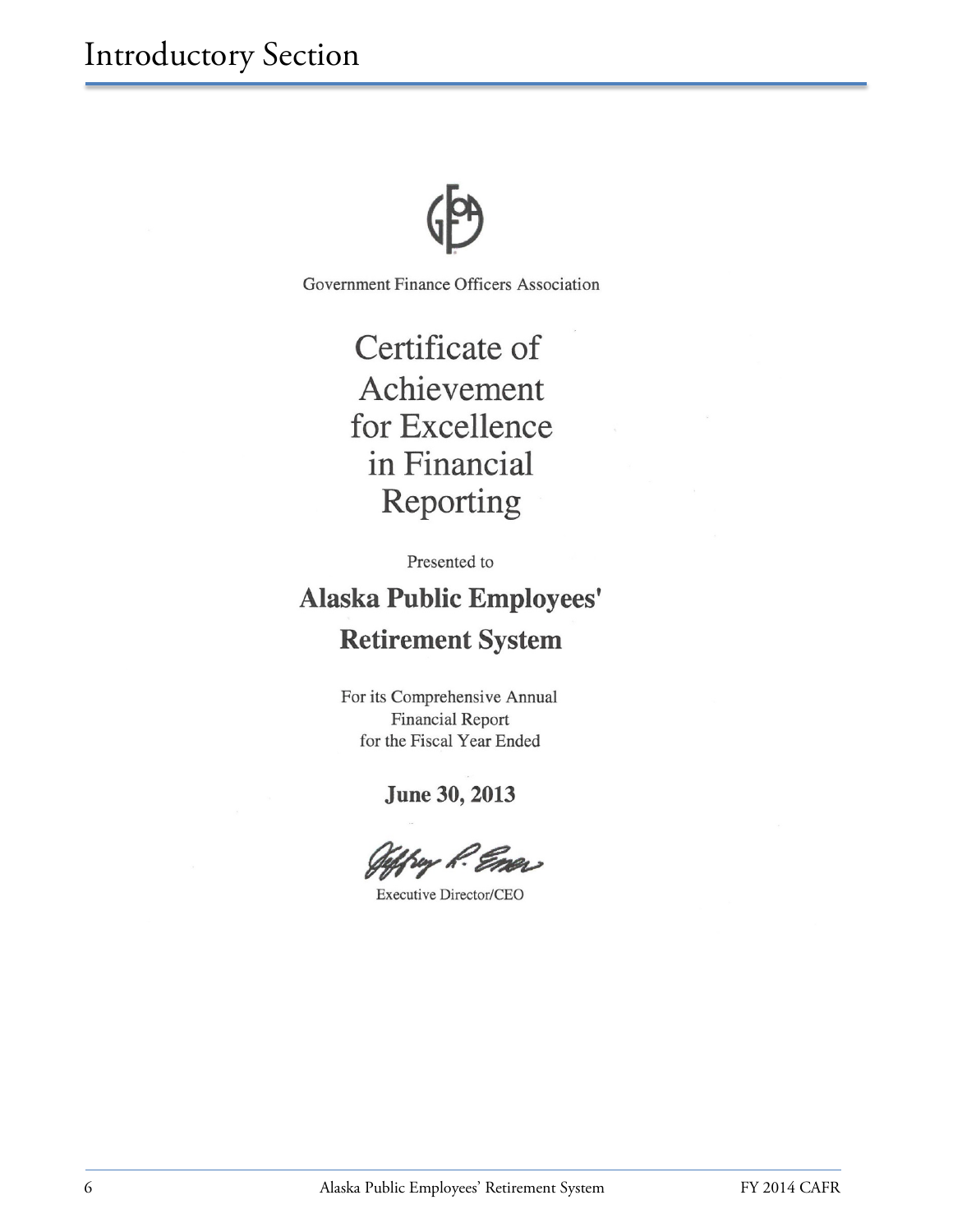

Government Finance Officers Association

Certificate of Achievement for Excellence in Financial Reporting

Presented to

**Alaska Public Employees' Retirement System** 

> For its Comprehensive Annual **Financial Report** for the Fiscal Year Ended

> > **June 30, 2013**

**Executive Director/CEO**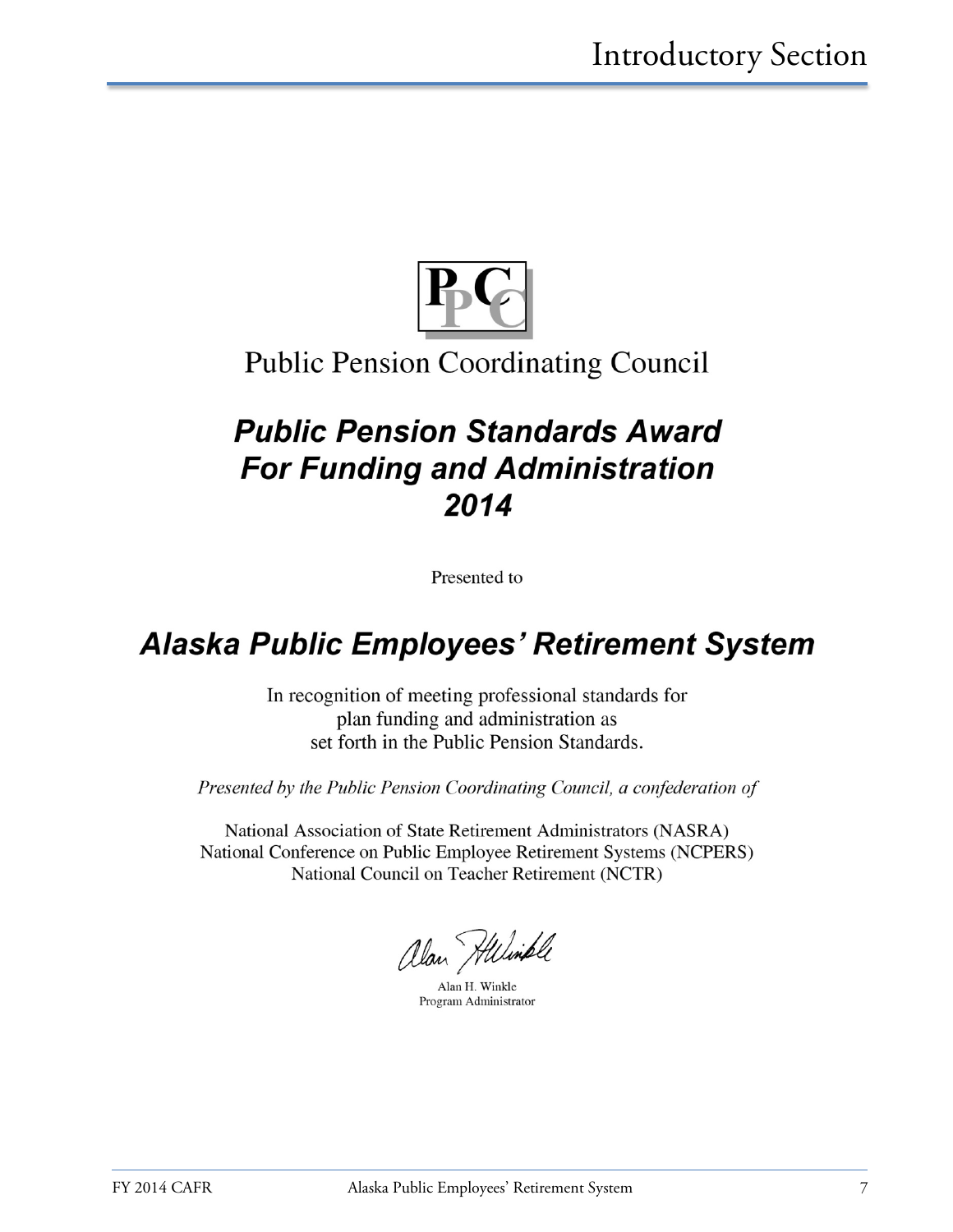

## **Public Pension Coordinating Council**

# **Public Pension Standards Award For Funding and Administration** 2014

Presented to

# **Alaska Public Employees' Retirement System**

In recognition of meeting professional standards for plan funding and administration as set forth in the Public Pension Standards.

Presented by the Public Pension Coordinating Council, a confederation of

National Association of State Retirement Administrators (NASRA) National Conference on Public Employee Retirement Systems (NCPERS) National Council on Teacher Retirement (NCTR)

alan Hilimple

Alan H. Winkle Program Administrator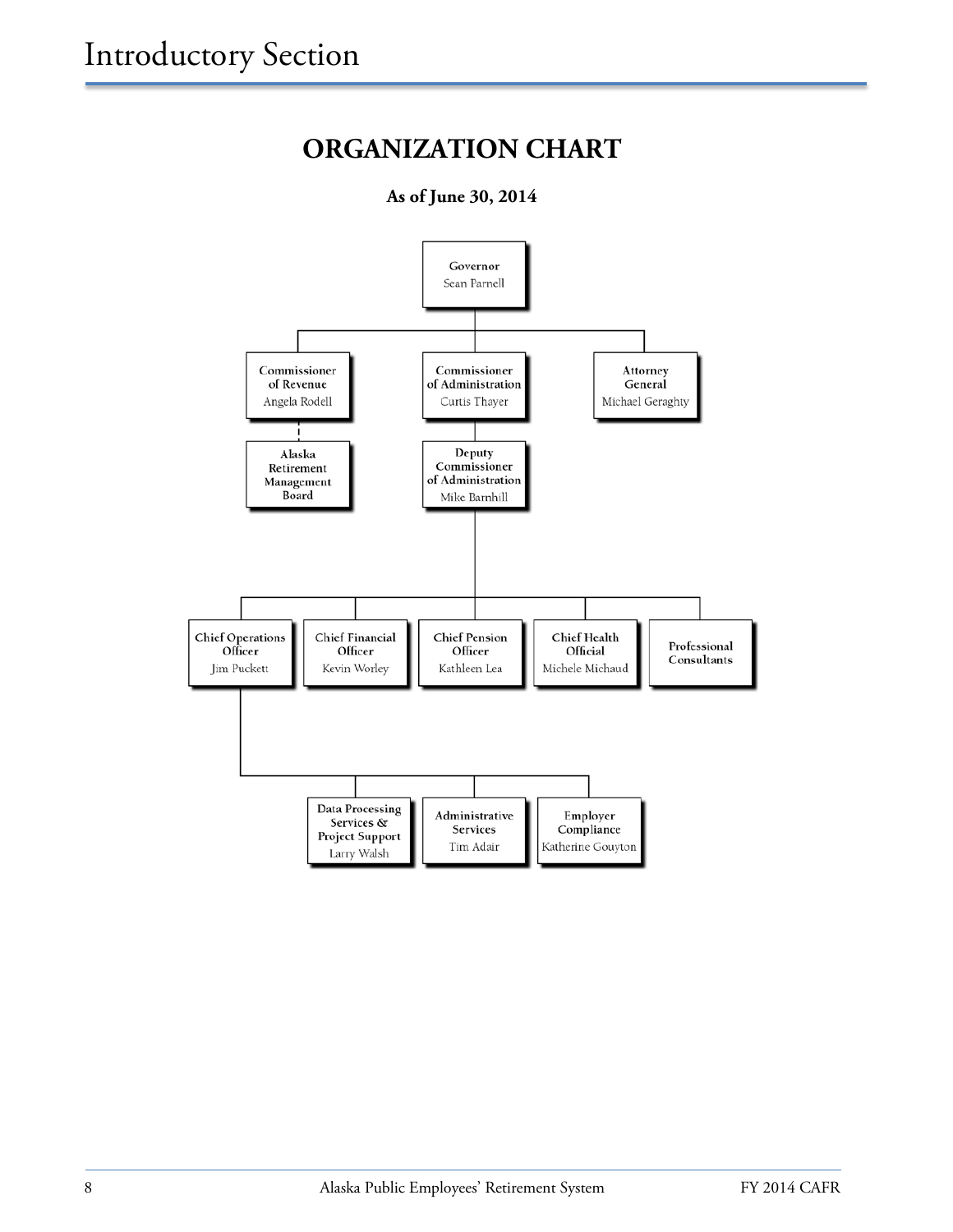# **ORGANIZATION CHART**

**As of June 30, 2014**

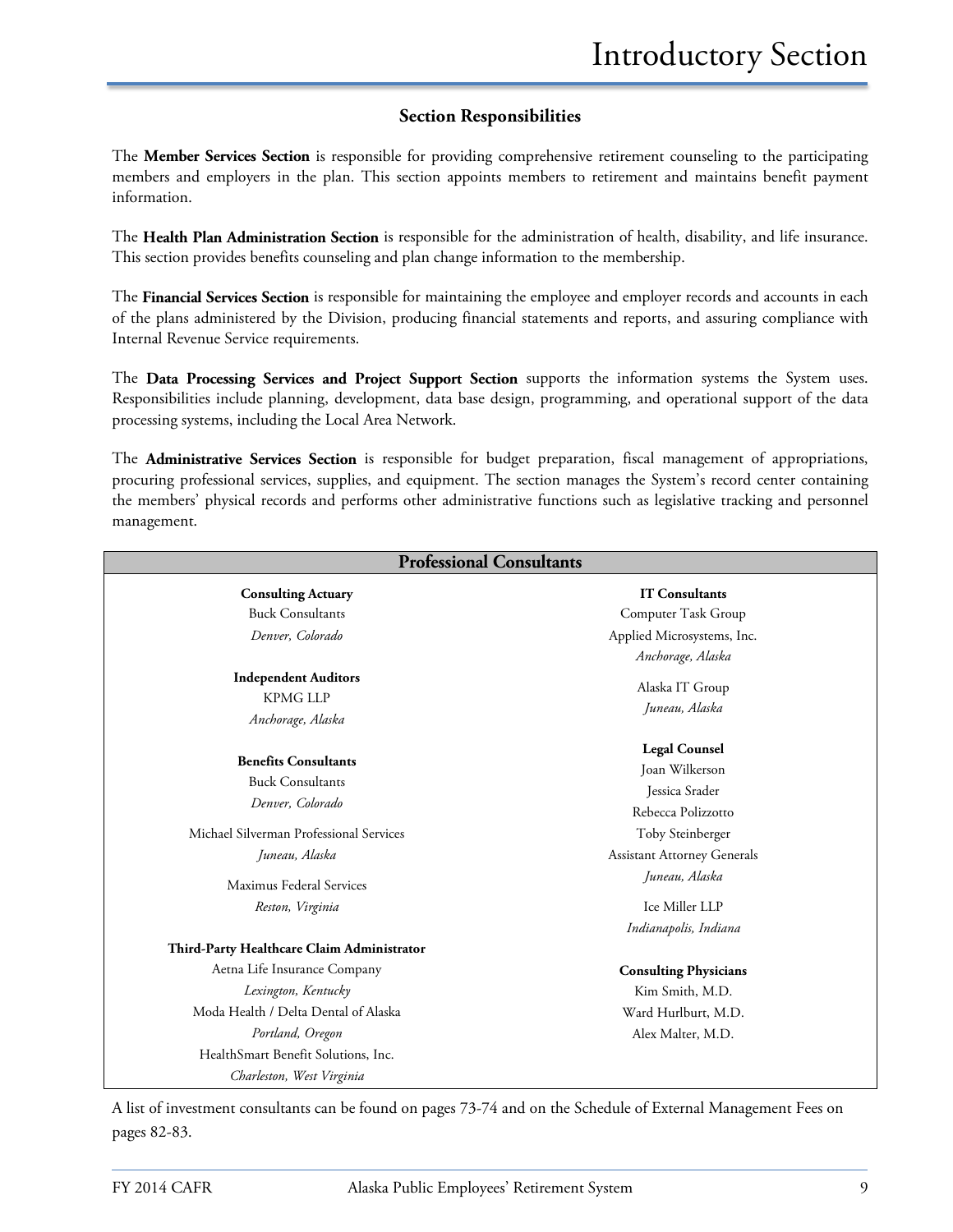#### **Section Responsibilities**

The **Member Services Section** is responsible for providing comprehensive retirement counseling to the participating members and employers in the plan. This section appoints members to retirement and maintains benefit payment information.

The **Health Plan Administration Section** is responsible for the administration of health, disability, and life insurance. This section provides benefits counseling and plan change information to the membership.

The **Financial Services Section** is responsible for maintaining the employee and employer records and accounts in each of the plans administered by the Division, producing financial statements and reports, and assuring compliance with Internal Revenue Service requirements.

The **Data Processing Services and Project Support Section** supports the information systems the System uses. Responsibilities include planning, development, data base design, programming, and operational support of the data processing systems, including the Local Area Network.

The **Administrative Services Section** is responsible for budget preparation, fiscal management of appropriations, procuring professional services, supplies, and equipment. The section manages the System's record center containing the members' physical records and performs other administrative functions such as legislative tracking and personnel management.

| <b>Professional Consultants</b>                                     |                                                          |
|---------------------------------------------------------------------|----------------------------------------------------------|
| <b>Consulting Actuary</b>                                           | <b>IT Consultants</b>                                    |
| <b>Buck Consultants</b>                                             | Computer Task Group                                      |
| Denver, Colorado                                                    | Applied Microsystems, Inc.                               |
|                                                                     | Anchorage, Alaska                                        |
| <b>Independent Auditors</b><br><b>KPMG LLP</b><br>Anchorage, Alaska | Alaska IT Group<br>Juneau, Alaska                        |
| <b>Benefits Consultants</b><br><b>Buck Consultants</b>              | <b>Legal Counsel</b><br>Joan Wilkerson<br>Jessica Srader |
| Denver, Colorado                                                    | Rebecca Polizzotto                                       |
| Michael Silverman Professional Services                             | Toby Steinberger                                         |
| Juneau, Alaska                                                      | <b>Assistant Attorney Generals</b>                       |
| Maximus Federal Services                                            | Juneau, Alaska                                           |
| Reston, Virginia                                                    | Ice Miller LLP                                           |
|                                                                     | Indianapolis, Indiana                                    |
| Third-Party Healthcare Claim Administrator                          |                                                          |
| Aetna Life Insurance Company                                        | <b>Consulting Physicians</b>                             |
| Lexington, Kentucky                                                 | Kim Smith, M.D.                                          |
| Moda Health / Delta Dental of Alaska                                | Ward Hurlburt, M.D.                                      |
| Portland, Oregon                                                    | Alex Malter, M.D.                                        |
| HealthSmart Benefit Solutions, Inc.                                 |                                                          |
| Charleston, West Virginia                                           |                                                          |

A list of investment consultants can be found on pages 73-74 and on the Schedule of External Management Fees on pages 82-83.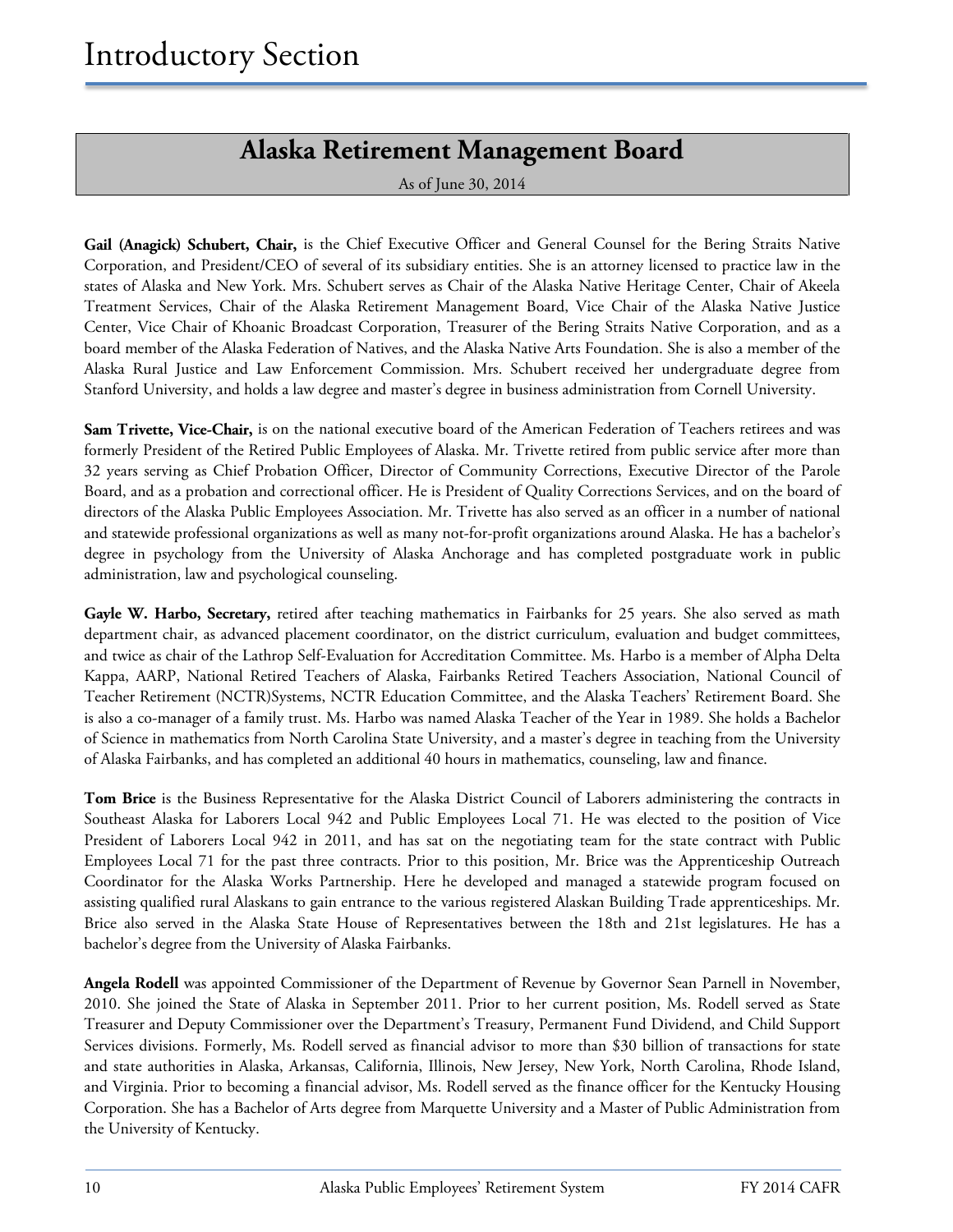### **Alaska Retirement Management Board**

As of June 30, 2014

**Gail (Anagick) Schubert, Chair,** is the Chief Executive Officer and General Counsel for the Bering Straits Native Corporation, and President/CEO of several of its subsidiary entities. She is an attorney licensed to practice law in the states of Alaska and New York. Mrs. Schubert serves as Chair of the Alaska Native Heritage Center, Chair of Akeela Treatment Services, Chair of the Alaska Retirement Management Board, Vice Chair of the Alaska Native Justice Center, Vice Chair of Khoanic Broadcast Corporation, Treasurer of the Bering Straits Native Corporation, and as a board member of the Alaska Federation of Natives, and the Alaska Native Arts Foundation. She is also a member of the Alaska Rural Justice and Law Enforcement Commission. Mrs. Schubert received her undergraduate degree from Stanford University, and holds a law degree and master's degree in business administration from Cornell University.

**Sam Trivette, Vice-Chair,** is on the national executive board of the American Federation of Teachers retirees and was formerly President of the Retired Public Employees of Alaska. Mr. Trivette retired from public service after more than 32 years serving as Chief Probation Officer, Director of Community Corrections, Executive Director of the Parole Board, and as a probation and correctional officer. He is President of Quality Corrections Services, and on the board of directors of the Alaska Public Employees Association. Mr. Trivette has also served as an officer in a number of national and statewide professional organizations as well as many not-for-profit organizations around Alaska. He has a bachelor's degree in psychology from the University of Alaska Anchorage and has completed postgraduate work in public administration, law and psychological counseling.

Gayle W. Harbo, Secretary, retired after teaching mathematics in Fairbanks for 25 years. She also served as math department chair, as advanced placement coordinator, on the district curriculum, evaluation and budget committees, and twice as chair of the Lathrop Self-Evaluation for Accreditation Committee. Ms. Harbo is a member of Alpha Delta Kappa, AARP, National Retired Teachers of Alaska, Fairbanks Retired Teachers Association, National Council of Teacher Retirement (NCTR)Systems, NCTR Education Committee, and the Alaska Teachers' Retirement Board. She is also a co-manager of a family trust. Ms. Harbo was named Alaska Teacher of the Year in 1989. She holds a Bachelor of Science in mathematics from North Carolina State University, and a master's degree in teaching from the University of Alaska Fairbanks, and has completed an additional 40 hours in mathematics, counseling, law and finance.

**Tom Brice** is the Business Representative for the Alaska District Council of Laborers administering the contracts in Southeast Alaska for Laborers Local 942 and Public Employees Local 71. He was elected to the position of Vice President of Laborers Local 942 in 2011, and has sat on the negotiating team for the state contract with Public Employees Local 71 for the past three contracts. Prior to this position, Mr. Brice was the Apprenticeship Outreach Coordinator for the Alaska Works Partnership. Here he developed and managed a statewide program focused on assisting qualified rural Alaskans to gain entrance to the various registered Alaskan Building Trade apprenticeships. Mr. Brice also served in the Alaska State House of Representatives between the 18th and 21st legislatures. He has a bachelor's degree from the University of Alaska Fairbanks.

**Angela Rodell** was appointed Commissioner of the Department of Revenue by Governor Sean Parnell in November, 2010. She joined the State of Alaska in September 2011. Prior to her current position, Ms. Rodell served as State Treasurer and Deputy Commissioner over the Department's Treasury, Permanent Fund Dividend, and Child Support Services divisions. Formerly, Ms. Rodell served as financial advisor to more than \$30 billion of transactions for state and state authorities in Alaska, Arkansas, California, Illinois, New Jersey, New York, North Carolina, Rhode Island, and Virginia. Prior to becoming a financial advisor, Ms. Rodell served as the finance officer for the Kentucky Housing Corporation. She has a Bachelor of Arts degree from Marquette University and a Master of Public Administration from the University of Kentucky.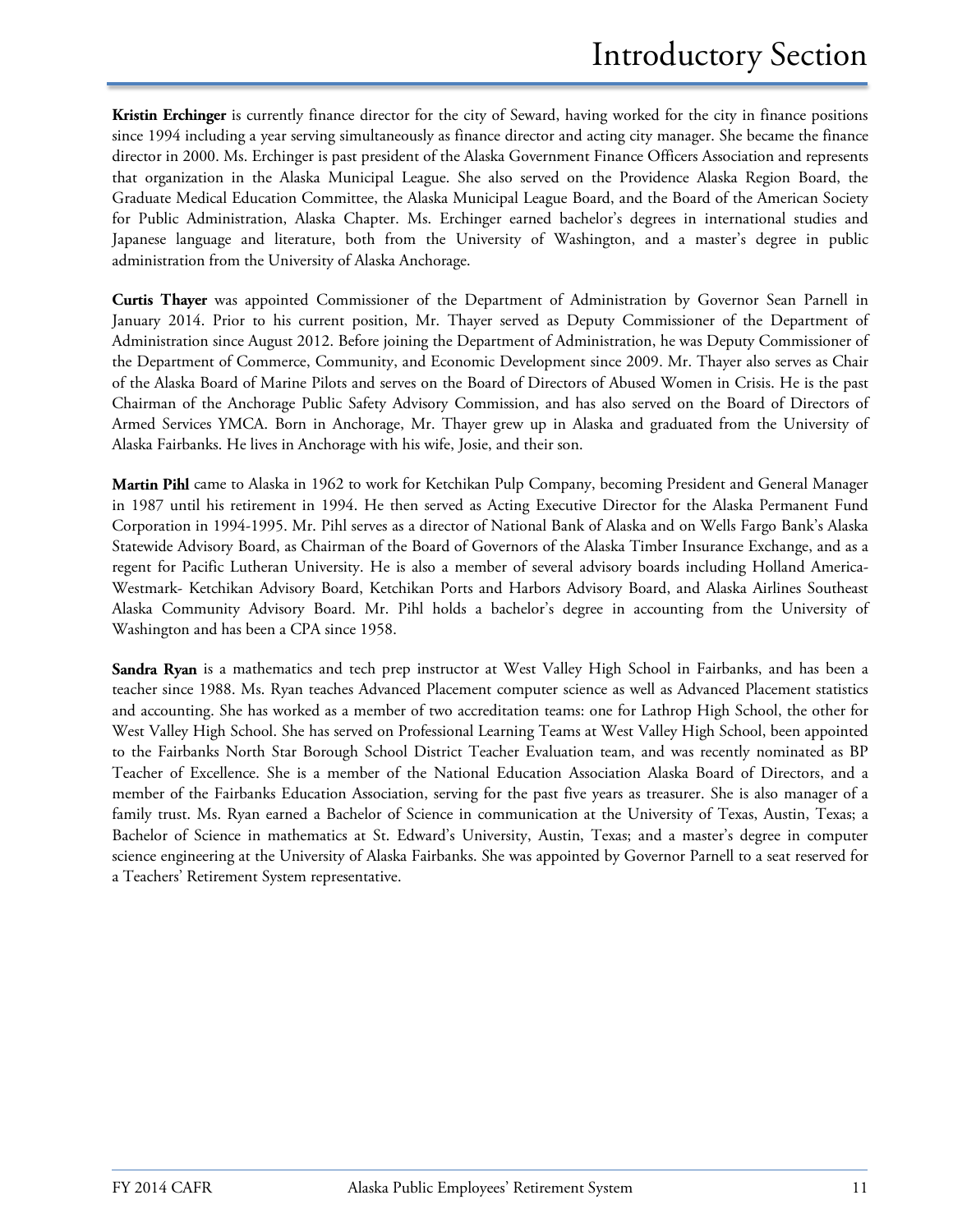**Kristin Erchinger** is currently finance director for the city of Seward, having worked for the city in finance positions since 1994 including a year serving simultaneously as finance director and acting city manager. She became the finance director in 2000. Ms. Erchinger is past president of the Alaska Government Finance Officers Association and represents that organization in the Alaska Municipal League. She also served on the Providence Alaska Region Board, the Graduate Medical Education Committee, the Alaska Municipal League Board, and the Board of the American Society for Public Administration, Alaska Chapter. Ms. Erchinger earned bachelor's degrees in international studies and Japanese language and literature, both from the University of Washington, and a master's degree in public administration from the University of Alaska Anchorage.

**Curtis Thayer** was appointed Commissioner of the Department of Administration by Governor Sean Parnell in January 2014. Prior to his current position, Mr. Thayer served as Deputy Commissioner of the Department of Administration since August 2012. Before joining the Department of Administration, he was Deputy Commissioner of the Department of Commerce, Community, and Economic Development since 2009. Mr. Thayer also serves as Chair of the Alaska Board of Marine Pilots and serves on the Board of Directors of Abused Women in Crisis. He is the past Chairman of the Anchorage Public Safety Advisory Commission, and has also served on the Board of Directors of Armed Services YMCA. Born in Anchorage, Mr. Thayer grew up in Alaska and graduated from the University of Alaska Fairbanks. He lives in Anchorage with his wife, Josie, and their son.

**Martin Pihl** came to Alaska in 1962 to work for Ketchikan Pulp Company, becoming President and General Manager in 1987 until his retirement in 1994. He then served as Acting Executive Director for the Alaska Permanent Fund Corporation in 1994-1995. Mr. Pihl serves as a director of National Bank of Alaska and on Wells Fargo Bank's Alaska Statewide Advisory Board, as Chairman of the Board of Governors of the Alaska Timber Insurance Exchange, and as a regent for Pacific Lutheran University. He is also a member of several advisory boards including Holland America-Westmark- Ketchikan Advisory Board, Ketchikan Ports and Harbors Advisory Board, and Alaska Airlines Southeast Alaska Community Advisory Board. Mr. Pihl holds a bachelor's degree in accounting from the University of Washington and has been a CPA since 1958.

**Sandra Ryan** is a mathematics and tech prep instructor at West Valley High School in Fairbanks, and has been a teacher since 1988. Ms. Ryan teaches Advanced Placement computer science as well as Advanced Placement statistics and accounting. She has worked as a member of two accreditation teams: one for Lathrop High School, the other for West Valley High School. She has served on Professional Learning Teams at West Valley High School, been appointed to the Fairbanks North Star Borough School District Teacher Evaluation team, and was recently nominated as BP Teacher of Excellence. She is a member of the National Education Association Alaska Board of Directors, and a member of the Fairbanks Education Association, serving for the past five years as treasurer. She is also manager of a family trust. Ms. Ryan earned a Bachelor of Science in communication at the University of Texas, Austin, Texas; a Bachelor of Science in mathematics at St. Edward's University, Austin, Texas; and a master's degree in computer science engineering at the University of Alaska Fairbanks. She was appointed by Governor Parnell to a seat reserved for a Teachers' Retirement System representative.